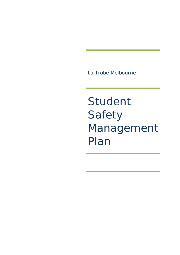La Trobe Melbourne

Student Safety Management Plan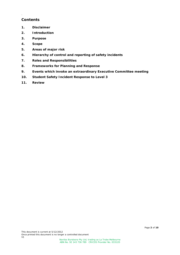# **Contents**

.

- **1. Disclaimer**
- **2. Introduction**
- **3. Purpose**
- **4. Scope**
- **5. Areas of major risk**
- **6. Hierarchy of control and reporting of safety incidents**
- **7. Roles and Responsibilities**
- **8. Frameworks for Planning and Response**
- **9. Events which invoke an extraordinary Executive Committee meeting**
- **10. Student Safety Incident Response to Level 3**
- **11. Review**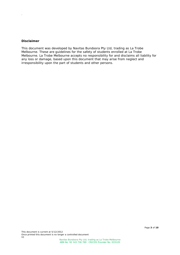#### **Disclaimer**

.

This document was developed by Navitas Bundoora Pty Ltd, trading as La Trobe Melbourne. These are guidelines for the safety of students enrolled at La Trobe Melbourne. La Trobe Melbourne accepts no responsibility for and disclaims all liability for any loss or damage, based upon this document that may arise from neglect and irresponsibility upon the part of students and other persons.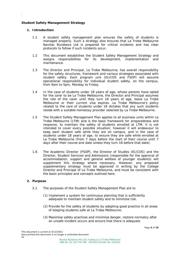# **Student Safety Management Strategy**

## **1. Introduction**

.

- 1.1 A student safety management plan ensures the safety of students is managed properly. Such a strategy also ensures that La Trobe Melbourne Navitas Bundoora Ltd is prepared for critical incidents and has clear protocols to follow if such incidents occur.
- 1.2 This document establishes the Student Safety Management Strategy and assigns responsibilities for its development, implementation and maintenance.
- 1.3 The Director and Principal, La Trobe Melbourne, has overall responsibility for the safety structures, framework and various strategies associated with student safety. Each program unit (ELICOS and FSDP) will assume operational responsibility for individual student safety, on the campus, from 9am to 5pm, Monday to Friday.
- 1.4 In the case of students under 18 years of age, whose parents have opted for the carer to be La Trobe Melbourne, the Director and Principal assumes the role of the carer until they turn 18 years of age, leave La Trobe Melbourne or their current visa expires. La Trobe Melbourne's policy related to the care of students under 18 dictates that any such students reside with a suitable homestay provider selected by La Trobe Melbourne.
- 1.5 The Student Safety Management Plan applies to all business units within La Trobe Melbourne (LTM) and is the basic framework for preparedness and response, to maintain the safety of students enrolled at LTM. It is not intended to cover every possible situation; however it will endeavour to keep each student safe while they are on campus, and in the case of students under 18 years of age, to ensure they are safe while enrolled at La Trobe Melbourne (from 7 days before the start of their course until 7 days after their course end date unless they turn 18 before that date).
- 1.6 The Academic Director (FSDP), the Director of Studies (ELICOS) and the Director, Student Services and Admissions (responsible for the approval of accommodation, support and general welfare of younger students) will supplement this strategy where necessary. However, any proposed supplementary strategy must be approved in writing by the College Director and Principal of La Trobe Melbourne, and must be consistent with the basic principles and concepts outlined here.

# **2. Purpose**

- 2.1 The purposes of the Student Safety Management Plan are to
	- (1) Implement a system for continuous planning that is sufficiently adequate to maintain student safety and to minimise risk.
	- (2) Provide for the safety of students by adopting good practice in all areas of keeping students safe at La Trobe Melbourne.
	- (3) Maximise safety practices and minimise danger, restore normalcy after an unsafe incident occurs and ensure that there is adequate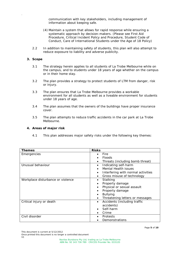communication with key stakeholders, including management of information about keeping safe.

- (4) Maintain a system that allows for rapid response while ensuring a systematic approach by decision-makers. (Please see First Aid Procedure, Critical Incident Policy and Procedure, Student Code of Conduct, Care of International Students under the Age of 18 Policy)
- 2.2 In addition to maintaining safety of students, this plan will also attempt to reduce exposure to liability and adverse publicity.

#### **3. Scope**

.

- 3.1 The strategy herein applies to all students of La Trobe Melbourne while on the campus, and to students under 18 years of age whether on the campus or in their home stay.
- 3.2 The plan provides a strategy to protect students of LTM from danger, risk or injury.
- 3.3 The plan ensures that La Trobe Melbourne provides a workable environment for all students as well as a liveable environment for students under 18 years of age.
- 3.4 The plan assumes that the owners of the buildings have proper insurance cover.
- 3.5 The plan attempts to reduce traffic accidents in the car park at La Trobe Melbourne.

### **4. Areas of major risk**

4.1 This plan addresses major safety risks under the following key themes:

| <b>Themes</b>                     | <b>Risks</b>                                    |
|-----------------------------------|-------------------------------------------------|
| Emergencies                       | Fire                                            |
|                                   | <b>Floods</b>                                   |
|                                   | Threats (including bomb threat)                 |
| Unusual behaviour                 | Indicating self-harm<br>$\bullet$               |
|                                   | <b>Mental Health issues</b>                     |
|                                   | Interfering with normal activities<br>$\bullet$ |
|                                   | Gross misuse of technology                      |
| Workplace disturbance or violence | Stalking<br>٠                                   |
|                                   | Property damage                                 |
|                                   | Physical or sexual assault                      |
|                                   | Property damage                                 |
|                                   | <b>Bullying</b><br>$\bullet$                    |
|                                   | Threatening letters or messages<br>٠            |
| Critical injury or death          | Accidents (including traffic<br>$\bullet$       |
|                                   | accidents)                                      |
|                                   | Self-harm                                       |
|                                   | Crime                                           |
| Civil disorder                    | Protests                                        |
|                                   | Demonstrations                                  |

This document is current at 5/12/2012

Once printed this document is no longer a controlled document V1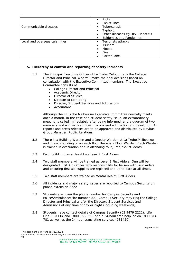|                               | <b>Riots</b>                     |
|-------------------------------|----------------------------------|
|                               | Picket lines                     |
| Communicable diseases         | <b>Tuberculosis</b><br>$\bullet$ |
|                               | Typhoid                          |
|                               | Other diseases eg HIV, Hepatitis |
|                               | <b>Epidemics and Pandemics</b>   |
| Local and overseas calamities | • Terrorists attacks             |
|                               | Tsunami                          |
|                               | <b>Floods</b>                    |
|                               | Fire                             |
|                               | Earthquake                       |

# **5. Hierarchy of control and reporting of safety incidents**

- 5.1 The Principal Executive Officer of La Trobe Melbourne is the College Director and Principal, who will make the final decisions based on consultation with the Executive Committee members. The Executive Committee consists of
	- College Director and Principal
	- Academic Director
	- Director of Studies
	- Director of Marketing
	- Director, Student Services and Admissions
	- **Accountant**

.

Although the La Trobe Melbourne Executive Committee normally meets once a month, in the case of a student safety issue, an extraordinary meeting is called immediately after being informed, and a quorum of two members and a chair is sufficient to proceed with action and resolution. All reports and press releases are to be approved and distributed by Navitas Group Manager, Public Relations.

- 5.2 There is a Building Warden and a Deputy Warden at La Trobe Melbourne, and in each building or on each floor there is a Floor Warden. Each Warden is trained in evacuation and in attending to injured/sick students.
- 5.3 Each building has at least two Level 2 First Aiders.
- 5.4 Two staff members will be trained as Level 3 First Aiders. One will be designated First Aid Officer with responsibility for liaison with First Aiders and ensuring first aid supplies are replaced and up to date at all times.
- 5.5 Two staff members are trained as Mental Health First Aiders.
- 5.6 All incidents and major safety issues are reported to Campus Security on phone extension 2222
- 5.7 Students are given the phone number for Campus Security and Police/Ambulance/Fire number 000. Campus Security may ring the College Director and Principal and/or the Director, Student Services and Admissions at any time of day or night (including weekends).
- 5.8 Students have contact details of Campus Security (03 9479 2222). Life Line (131114 and 1800 758 360) and a 24 hour free helpline on 1800 814 781 as well as the 24 hour translating services (131450).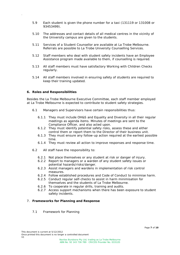- 5.9 Each student is given the phone number for a taxi (131119 or 131008 or 93453499).
- 5.10 The addresses and contact details of all medical centres in the vicinity of the University campus are given to the students.
- 5.11 Services of a Student Counsellor are available at La Trobe Melbourne. Referrals are possible to La Trobe University Counselling Services.
- 5.12 Staff members who deal with student safety incidents have an Employee Assistance program made available to them, if counselling is required.
- 5.13 All staff members must have satisfactory Working with Children Checks regularly.
- 5.14 All staff members involved in ensuring safety of students are required to keep their training updated.

### **6. Roles and Responsibilities**

.

Besides the La Trobe Melbourne Executive Committee, each staff member employed at La Trobe Melbourne is expected to contribute to student safety strategies.

- 6.1 Managers and Supervisors have certain responsibilities thus:
	- 6.1.1 They must include OH&S and Equality and Diversity in all their regular meetings as agenda items. Minutes of meetings are sent to the Compliance Officer, and also acted upon.
	- 6.1.2 They must identify potential safety risks, assess these and either control them or report them to the Director of their business unit.
	- 6.1.3 They must ensure any follow-up action required at the earliest possible time.
	- 6.1.4 They must review all action to improve responses and response time.
- 6.2 All staff have the responsibility to:
	- 6.2.1 Not place themselves or any student at risk or danger of injury.
	- 6.2.2 Report to managers or a warden of any student safety issues or potential hazards/risks/danger.
	- 6.2.3 Assist managers and wardens in implementation of risk control measures.
	- 6.2.4 Follow established procedures and Code of Conduct to minimise harm.
	- 6.2.5 Conduct regular self-checks to assist in harm minimisation for themselves and the students of La Trobe Melbourne.
	- 6.2.6 To cooperate in regular drills, training and audits.
	- 6.2.7 Access support mechanisms when there has been exposure to student safety incidents.

# 7. **Frameworks for Planning and Response**

7.1 Framework for Planning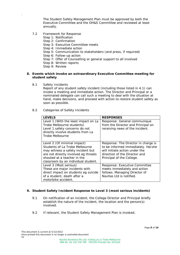The Student Safety Management Plan must be approved by both the Executive Committee and the OH&S Committee and reviewed at least annually.

7.2 Framework for Response

.

- Step 1: Notification
- Step 2: Confirmation
- Step 3: Executive Committee meets
- Step 4: Immediate action
- Step 5: Communication to stakeholders (and press, if required)
- Step 6: Follow-up action
- Step 7: Offer of Counselling or general support to all involved
- Step 8: Written reports
- Step 9: Review

### **8. Events which invoke an extraordinary Executive Committee meeting for student safety**

8.1 Safety Incidents

Report of any student safety incident (including those listed in 4.1) can invoke a meeting and immediate action. The Director and Principal or a nominated delegate can call such a meeting to deal with the situation at hand, make decisions, and proceed with action to restore student safety as soon as possible.

8.2 Categories of Safety Incidents

| <b>LEVELS</b>                                                                                                                                                                                                    | <b>RESPONSES</b>                                                                                                                                                          |
|------------------------------------------------------------------------------------------------------------------------------------------------------------------------------------------------------------------|---------------------------------------------------------------------------------------------------------------------------------------------------------------------------|
| Level 1 (With the least impact on La<br>Trobe Melbourne students)<br>Level 1 safety concerns do not<br>directly involve students from La<br>Trobe Melbourne                                                      | Response: General communique<br>from the Director and Principal on<br>receiving news of the incident.                                                                     |
| Level 2 (Of minimal impact)<br>Students of La Trobe Melbourne<br>may witness a safety incident but<br>are not directly involved eq threats<br>shouted at a teacher in the<br>classroom by an individual student. | Response: The Director in charge is<br>to be informed immediately. He/she<br>will initiate action under the<br>direction of the Director and<br>Principal of the College. |
| Level 3 (Most serious)<br>These are major incidents with<br>direct impact on students eg suicide<br>of a student, death after a<br>motorbike accident.                                                           | Response: Executive Committee<br>meets immediately and action<br>follows. Managing Director of<br>Navitas Ltd is notified.                                                |

## **9. Student Safety Incident Response to Level 3 (most serious incidents)**

- 9.1 On notification of an incident, the College Director and Principal briefly establish the nature of the incident, the location and the person(s) involved.
- 9.2 If relevant, the Student Safety Management Plan is invoked.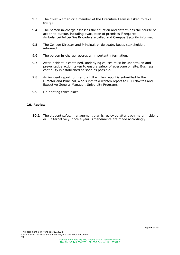- 9.3 The Chief Warden or a member of the Executive Team is asked to take charge.
- 9.4 The person in-charge assesses the situation and determines the course of action to pursue, including evacuation of premises if required. Ambulance/Police/Fire Brigade are called and Campus Security informed.
- 9.5 The College Director and Principal, or delegate, keeps stakeholders informed.
- 9.6 The person in-charge records all important information.
- 9.7 After incident is contained, underlying causes must be undertaken and preventative action taken to ensure safety of everyone on site. Business continuity is established as soon as possible.
- 9.8 An incident report form and a full written report is submitted to the Director and Principal, who submits a written report to CEO Navitas and Executive General Manager, University Programs.
- 9.9 De-briefing takes place.

# **10. Review**

.

**10.1** The student safety management plan is reviewed after each major incident or alternatively, once a year. Amendments are made accordingly.